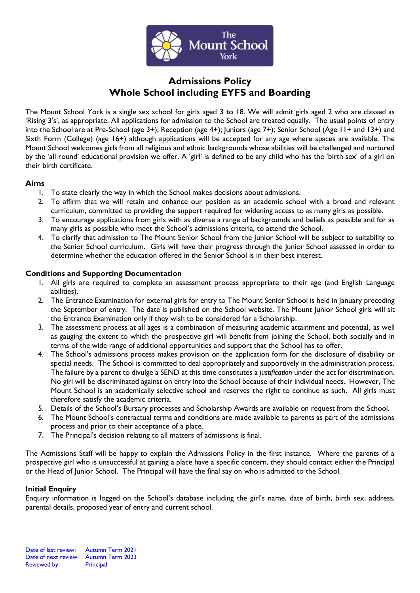

# **Admissions Policy Whole School including EYFS and Boarding**

The Mount School York is a single sex school for girls aged 3 to 18. We will admit girls aged 2 who are classed as 'Rising 3's', as appropriate. All applications for admission to the School are treated equally. The usual points of entry into the School are at Pre-School (age 3+); Reception (age 4+); Juniors (age 7+); Senior School (Age 11+ and 13+) and Sixth Form (College) (age 16+) although applications will be accepted for any age where spaces are available. The Mount School welcomes girls from all religious and ethnic backgrounds whose abilities will be challenged and nurtured by the 'all round' educational provision we offer. A 'girl' is defined to be any child who has the 'birth sex' of a girl on their birth certificate.

# **Aims**

- 1. To state clearly the way in which the School makes decisions about admissions.
- 2. To affirm that we will retain and enhance our position as an academic school with a broad and relevant curriculum, committed to providing the support required for widening access to as many girls as possible.
- 3. To encourage applications from girls with as diverse a range of backgrounds and beliefs as possible and for as many girls as possible who meet the School's admissions criteria, to attend the School.
- 4. To clarify that admission to The Mount Senior School from the Junior School will be subject to suitability to the Senior School curriculum. Girls will have their progress through the Junior School assessed in order to determine whether the education offered in the Senior School is in their best interest.

# **Conditions and Supporting Documentation**

- 1. All girls are required to complete an assessment process appropriate to their age (and English Language abilities).
- 2. The Entrance Examination for external girls for entry to The Mount Senior School is held in January preceding the September of entry. The date is published on the School website. The Mount Junior School girls will sit the Entrance Examination only if they wish to be considered for a Scholarship.
- 3. The assessment process at all ages is a combination of measuring academic attainment and potential, as well as gauging the extent to which the prospective girl will benefit from joining the School, both socially and in terms of the wide range of additional opportunities and support that the School has to offer.
- 4. The School's admissions process makes provision on the application form for the disclosure of disability or special needs. The School is committed to deal appropriately and supportively in the administration process. The failure by a parent to divulge a SEND at this time constitutes a *justification* under the act for discrimination. No girl will be discriminated against on entry into the School because of their individual needs. However, The Mount School is an academically selective school and reserves the right to continue as such. All girls must therefore satisfy the academic criteria.
- 5. Details of the School's Bursary processes and Scholarship Awards are available on request from the School.
- 6. The Mount School's contractual terms and conditions are made available to parents as part of the admissions process and prior to their acceptance of a place.
- 7. The Principal's decision relating to all matters of admissions is final.

The Admissions Staff will be happy to explain the Admissions Policy in the first instance. Where the parents of a prospective girl who is unsuccessful at gaining a place have a specific concern, they should contact either the Principal or the Head of Junior School. The Principal will have the final say on who is admitted to the School.

# **Initial Enquiry**

Enquiry information is logged on the School's database including the girl's name, date of birth, birth sex, address, parental details, proposed year of entry and current school.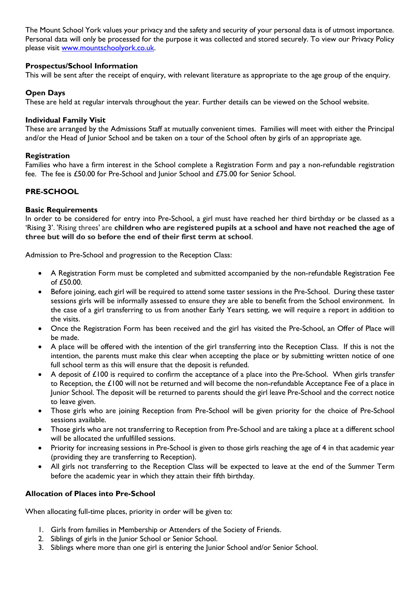The Mount School York values your privacy and the safety and security of your personal data is of utmost importance. Personal data will only be processed for the purpose it was collected and stored securely. To view our Privacy Policy please visit [www.mountschoolyork.co.uk.](http://www.mountschoolyork.co.uk/)

# **Prospectus/School Information**

This will be sent after the receipt of enquiry, with relevant literature as appropriate to the age group of the enquiry.

# **Open Days**

These are held at regular intervals throughout the year. Further details can be viewed on the School website.

#### **Individual Family Visit**

These are arranged by the Admissions Staff at mutually convenient times. Families will meet with either the Principal and/or the Head of Junior School and be taken on a tour of the School often by girls of an appropriate age.

#### **Registration**

Families who have a firm interest in the School complete a Registration Form and pay a non-refundable registration fee. The fee is £50.00 for Pre-School and Junior School and £75.00 for Senior School.

# **PRE-SCHOOL**

#### **Basic Requirements**

In order to be considered for entry into Pre-School, a girl must have reached her third birthday or be classed as a 'Rising 3'. 'Rising threes' are **children who are registered pupils at a school and have not reached the age of three but will do so before the end of their first term at school**.

Admission to Pre-School and progression to the Reception Class:

- A Registration Form must be completed and submitted accompanied by the non-refundable Registration Fee of £50.00.
- Before joining, each girl will be required to attend some taster sessions in the Pre-School. During these taster sessions girls will be informally assessed to ensure they are able to benefit from the School environment. In the case of a girl transferring to us from another Early Years setting, we will require a report in addition to the visits.
- Once the Registration Form has been received and the girl has visited the Pre-School, an Offer of Place will be made.
- A place will be offered with the intention of the girl transferring into the Reception Class. If this is not the intention, the parents must make this clear when accepting the place or by submitting written notice of one full school term as this will ensure that the deposit is refunded.
- A deposit of £100 is required to confirm the acceptance of a place into the Pre-School. When girls transfer to Reception, the £100 will not be returned and will become the non-refundable Acceptance Fee of a place in Junior School. The deposit will be returned to parents should the girl leave Pre-School and the correct notice to leave given.
- Those girls who are joining Reception from Pre-School will be given priority for the choice of Pre-School sessions available.
- Those girls who are not transferring to Reception from Pre-School and are taking a place at a different school will be allocated the unfulfilled sessions.
- Priority for increasing sessions in Pre-School is given to those girls reaching the age of 4 in that academic year (providing they are transferring to Reception).
- All girls not transferring to the Reception Class will be expected to leave at the end of the Summer Term before the academic year in which they attain their fifth birthday.

# **Allocation of Places into Pre-School**

When allocating full-time places, priority in order will be given to:

- 1. Girls from families in Membership or Attenders of the Society of Friends.
- 2. Siblings of girls in the Junior School or Senior School.
- 3. Siblings where more than one girl is entering the Junior School and/or Senior School.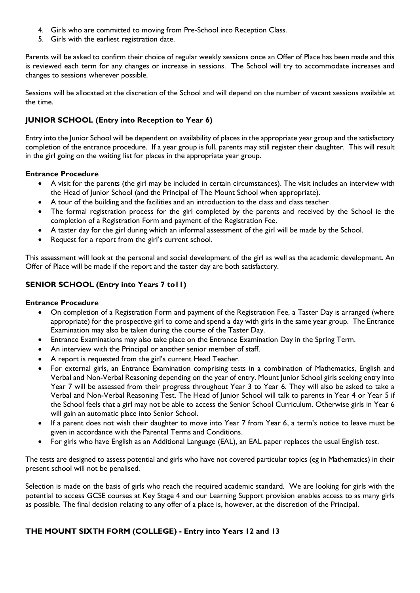- 4. Girls who are committed to moving from Pre-School into Reception Class.
- 5. Girls with the earliest registration date.

Parents will be asked to confirm their choice of regular weekly sessions once an Offer of Place has been made and this is reviewed each term for any changes or increase in sessions. The School will try to accommodate increases and changes to sessions wherever possible.

Sessions will be allocated at the discretion of the School and will depend on the number of vacant sessions available at the time.

# **JUNIOR SCHOOL (Entry into Reception to Year 6)**

Entry into the Junior School will be dependent on availability of places in the appropriate year group and the satisfactory completion of the entrance procedure. If a year group is full, parents may still register their daughter. This will result in the girl going on the waiting list for places in the appropriate year group.

#### **Entrance Procedure**

- A visit for the parents (the girl may be included in certain circumstances). The visit includes an interview with the Head of Junior School (and the Principal of The Mount School when appropriate).
- A tour of the building and the facilities and an introduction to the class and class teacher.
- The formal registration process for the girl completed by the parents and received by the School ie the completion of a Registration Form and payment of the Registration Fee.
- A taster day for the girl during which an informal assessment of the girl will be made by the School.
- Request for a report from the girl's current school.

This assessment will look at the personal and social development of the girl as well as the academic development. An Offer of Place will be made if the report and the taster day are both satisfactory.

# **SENIOR SCHOOL (Entry into Years 7 to11)**

#### **Entrance Procedure**

- On completion of a Registration Form and payment of the Registration Fee, a Taster Day is arranged (where appropriate) for the prospective girl to come and spend a day with girls in the same year group. The Entrance Examination may also be taken during the course of the Taster Day.
- Entrance Examinations may also take place on the Entrance Examination Day in the Spring Term.
- An interview with the Principal or another senior member of staff.
- A report is requested from the girl's current Head Teacher.
- For external girls, an Entrance Examination comprising tests in a combination of Mathematics, English and Verbal and Non-Verbal Reasoning depending on the year of entry. Mount Junior School girls seeking entry into Year 7 will be assessed from their progress throughout Year 3 to Year 6. They will also be asked to take a Verbal and Non-Verbal Reasoning Test. The Head of Junior School will talk to parents in Year 4 or Year 5 if the School feels that a girl may not be able to access the Senior School Curriculum. Otherwise girls in Year 6 will gain an automatic place into Senior School.
- If a parent does not wish their daughter to move into Year 7 from Year 6, a term's notice to leave must be given in accordance with the Parental Terms and Conditions.
- For girls who have English as an Additional Language (EAL), an EAL paper replaces the usual English test.

The tests are designed to assess potential and girls who have not covered particular topics (eg in Mathematics) in their present school will not be penalised.

Selection is made on the basis of girls who reach the required academic standard. We are looking for girls with the potential to access GCSE courses at Key Stage 4 and our Learning Support provision enables access to as many girls as possible. The final decision relating to any offer of a place is, however, at the discretion of the Principal.

# **THE MOUNT SIXTH FORM (COLLEGE) - Entry into Years 12 and 13**